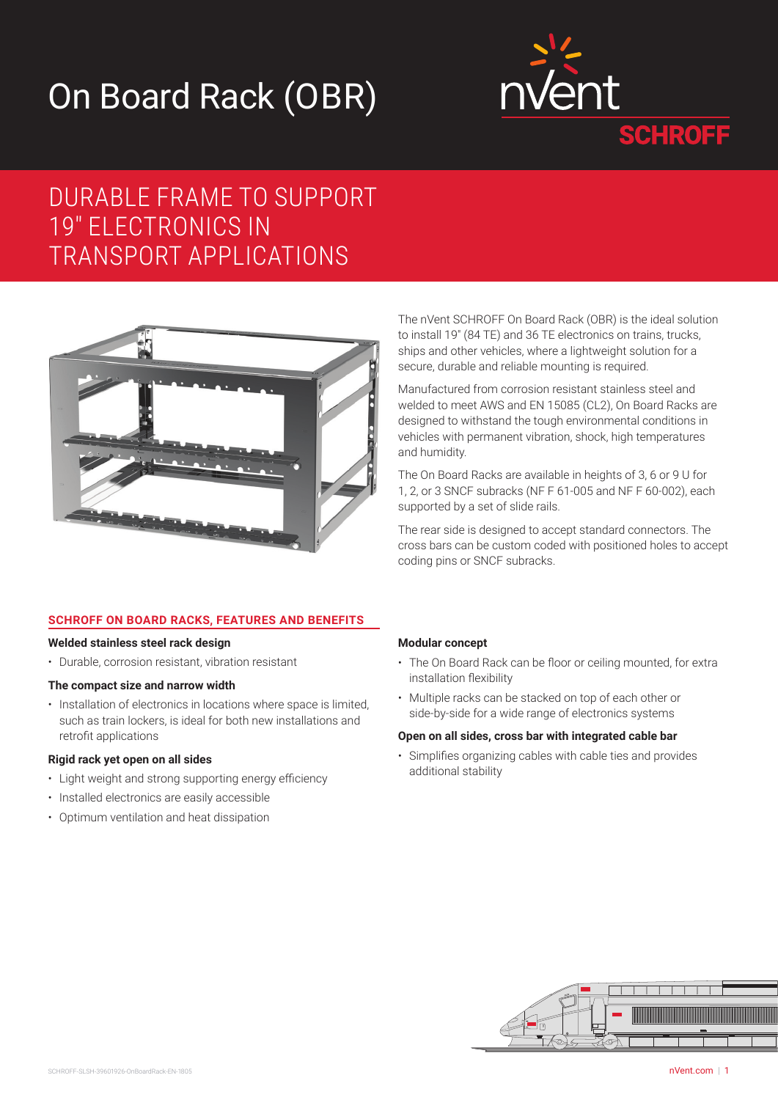# On Board Rack (OBR)



# DURABLE FRAME TO SUPPORT 19" ELECTRONICS IN TRANSPORT APPLICATIONS



# **SCHROFF ON BOARD RACKS, FEATURES AND BENEFITS**

#### **Welded stainless steel rack design**

• Durable, corrosion resistant, vibration resistant

#### **The compact size and narrow width**

• Installation of electronics in locations where space is limited, such as train lockers, is ideal for both new installations and retrofit applications

### **Rigid rack yet open on all sides**

- Light weight and strong supporting energy efficiency
- Installed electronics are easily accessible
- Optimum ventilation and heat dissipation

The nVent SCHROFF On Board Rack (OBR) is the ideal solution to install 19" (84 TE) and 36 TE electronics on trains, trucks, ships and other vehicles, where a lightweight solution for a secure, durable and reliable mounting is required.

Manufactured from corrosion resistant stainless steel and welded to meet AWS and EN 15085 (CL2), On Board Racks are designed to withstand the tough environmental conditions in vehicles with permanent vibration, shock, high temperatures and humidity.

The On Board Racks are available in heights of 3, 6 or 9 U for 1, 2, or 3 SNCF subracks (NF F 61-005 and NF F 60-002), each supported by a set of slide rails.

The rear side is designed to accept standard connectors. The cross bars can be custom coded with positioned holes to accept coding pins or SNCF subracks.

### **Modular concept**

- The On Board Rack can be floor or ceiling mounted, for extra installation flexibility
- Multiple racks can be stacked on top of each other or side-by-side for a wide range of electronics systems

#### **Open on all sides, cross bar with integrated cable bar**

• Simplifies organizing cables with cable ties and provides additional stability